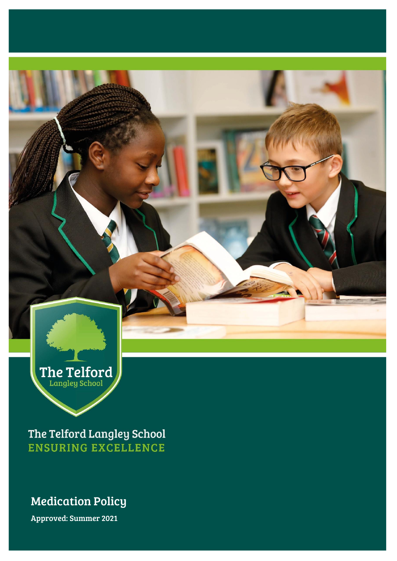

The Telford Langley School **ENSURING EXCELLENCE** 

## Medication Policy

Approved: Summer 2021 Approved: Summer 2021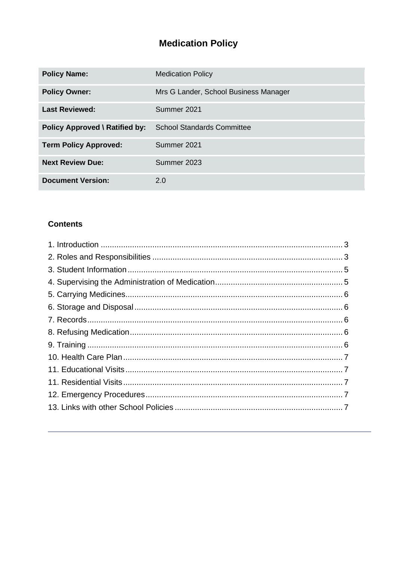# **Medication Policy**

| <b>Policy Name:</b>                   | <b>Medication Policy</b>              |
|---------------------------------------|---------------------------------------|
| <b>Policy Owner:</b>                  | Mrs G Lander, School Business Manager |
| <b>Last Reviewed:</b>                 | Summer 2021                           |
| <b>Policy Approved \ Ratified by:</b> | <b>School Standards Committee</b>     |
| <b>Term Policy Approved:</b>          | Summer 2021                           |
| <b>Next Review Due:</b>               | Summer 2023                           |
| <b>Document Version:</b>              | 2.0                                   |

#### **Contents**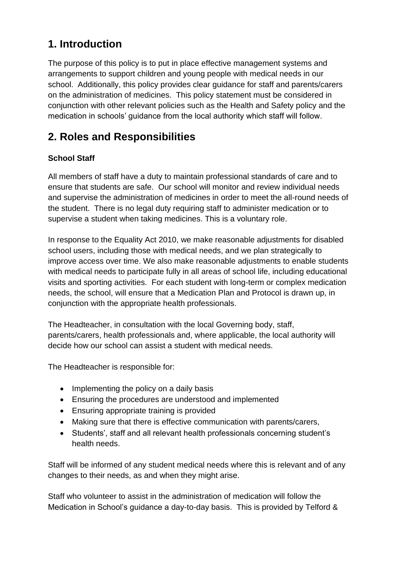# <span id="page-2-0"></span>**1. Introduction**

The purpose of this policy is to put in place effective management systems and arrangements to support children and young people with medical needs in our school. Additionally, this policy provides clear guidance for staff and parents/carers on the administration of medicines. This policy statement must be considered in conjunction with other relevant policies such as the Health and Safety policy and the medication in schools' guidance from the local authority which staff will follow.

# <span id="page-2-1"></span>**2. Roles and Responsibilities**

### **School Staff**

All members of staff have a duty to maintain professional standards of care and to ensure that students are safe. Our school will monitor and review individual needs and supervise the administration of medicines in order to meet the all-round needs of the student. There is no legal duty requiring staff to administer medication or to supervise a student when taking medicines. This is a voluntary role.

In response to the Equality Act 2010, we make reasonable adjustments for disabled school users, including those with medical needs, and we plan strategically to improve access over time. We also make reasonable adjustments to enable students with medical needs to participate fully in all areas of school life, including educational visits and sporting activities. For each student with long-term or complex medication needs, the school, will ensure that a Medication Plan and Protocol is drawn up, in conjunction with the appropriate health professionals.

The Headteacher, in consultation with the local Governing body, staff, parents/carers, health professionals and, where applicable, the local authority will decide how our school can assist a student with medical needs.

The Headteacher is responsible for:

- Implementing the policy on a daily basis
- Ensuring the procedures are understood and implemented
- Ensuring appropriate training is provided
- Making sure that there is effective communication with parents/carers,
- Students', staff and all relevant health professionals concerning student's health needs.

Staff will be informed of any student medical needs where this is relevant and of any changes to their needs, as and when they might arise.

Staff who volunteer to assist in the administration of medication will follow the Medication in School's guidance a day-to-day basis. This is provided by Telford &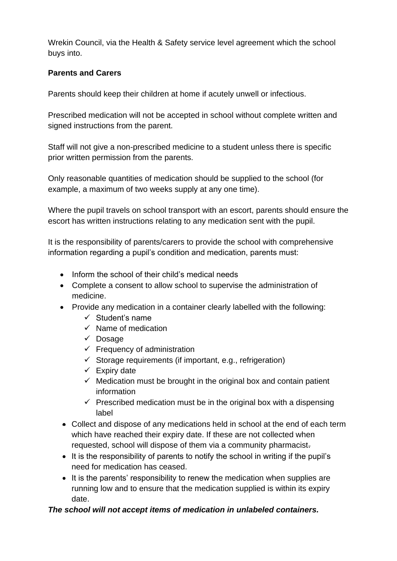Wrekin Council, via the Health & Safety service level agreement which the school buys into.

### **Parents and Carers**

Parents should keep their children at home if acutely unwell or infectious.

Prescribed medication will not be accepted in school without complete written and signed instructions from the parent.

Staff will not give a non-prescribed medicine to a student unless there is specific prior written permission from the parents.

Only reasonable quantities of medication should be supplied to the school (for example, a maximum of two weeks supply at any one time).

Where the pupil travels on school transport with an escort, parents should ensure the escort has written instructions relating to any medication sent with the pupil.

It is the responsibility of parents/carers to provide the school with comprehensive information regarding a pupil's condition and medication, parents must:

- Inform the school of their child's medical needs
- Complete a consent to allow school to supervise the administration of medicine.
- Provide any medication in a container clearly labelled with the following:
	- $\checkmark$  Student's name
	- $\checkmark$  Name of medication
	- ✓ Dosage
	- $\checkmark$  Frequency of administration
	- $\checkmark$  Storage requirements (if important, e.g., refrigeration)
	- $\checkmark$  Expiry date
	- $\checkmark$  Medication must be brought in the original box and contain patient information
	- $\checkmark$  Prescribed medication must be in the original box with a dispensing label
- Collect and dispose of any medications held in school at the end of each term which have reached their expiry date. If these are not collected when requested, school will dispose of them via a community pharmacist.
- It is the responsibility of parents to notify the school in writing if the pupil's need for medication has ceased.
- It is the parents' responsibility to renew the medication when supplies are running low and to ensure that the medication supplied is within its expiry date.

### *The school will not accept items of medication in unlabeled containers.*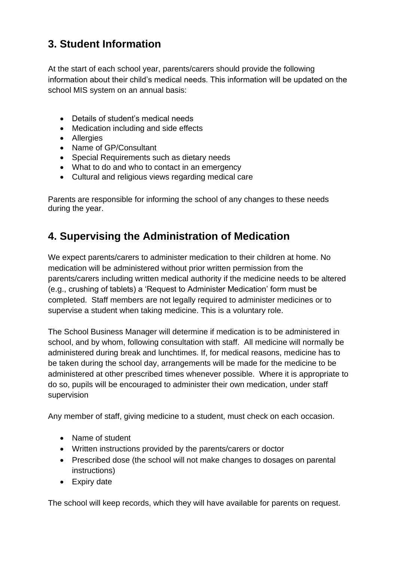# <span id="page-4-0"></span>**3. Student Information**

At the start of each school year, parents/carers should provide the following information about their child's medical needs. This information will be updated on the school MIS system on an annual basis:

- Details of student's medical needs
- Medication including and side effects
- Allergies
- Name of GP/Consultant
- Special Requirements such as dietary needs
- What to do and who to contact in an emergency
- Cultural and religious views regarding medical care

Parents are responsible for informing the school of any changes to these needs during the year.

## <span id="page-4-1"></span>**4. Supervising the Administration of Medication**

We expect parents/carers to administer medication to their children at home. No medication will be administered without prior written permission from the parents/carers including written medical authority if the medicine needs to be altered (e.g., crushing of tablets) a 'Request to Administer Medication' form must be completed. Staff members are not legally required to administer medicines or to supervise a student when taking medicine. This is a voluntary role.

The School Business Manager will determine if medication is to be administered in school, and by whom, following consultation with staff. All medicine will normally be administered during break and lunchtimes. If, for medical reasons, medicine has to be taken during the school day, arrangements will be made for the medicine to be administered at other prescribed times whenever possible. Where it is appropriate to do so, pupils will be encouraged to administer their own medication, under staff supervision

Any member of staff, giving medicine to a student, must check on each occasion.

- Name of student
- Written instructions provided by the parents/carers or doctor
- Prescribed dose (the school will not make changes to dosages on parental instructions)
- Expiry date

The school will keep records, which they will have available for parents on request.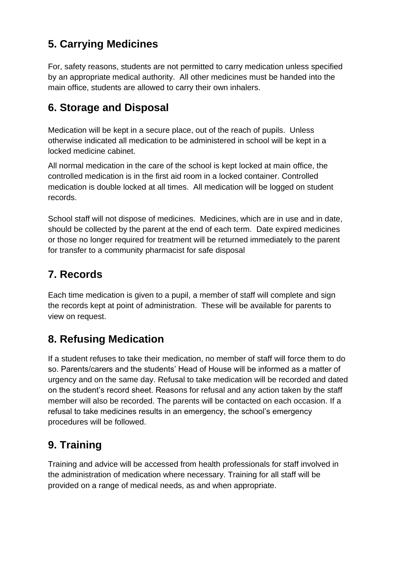# <span id="page-5-0"></span>**5. Carrying Medicines**

For, safety reasons, students are not permitted to carry medication unless specified by an appropriate medical authority. All other medicines must be handed into the main office, students are allowed to carry their own inhalers.

## <span id="page-5-1"></span>**6. Storage and Disposal**

Medication will be kept in a secure place, out of the reach of pupils. Unless otherwise indicated all medication to be administered in school will be kept in a locked medicine cabinet.

All normal medication in the care of the school is kept locked at main office, the controlled medication is in the first aid room in a locked container. Controlled medication is double locked at all times. All medication will be logged on student records.

School staff will not dispose of medicines. Medicines, which are in use and in date, should be collected by the parent at the end of each term. Date expired medicines or those no longer required for treatment will be returned immediately to the parent for transfer to a community pharmacist for safe disposal

## <span id="page-5-2"></span>**7. Records**

Each time medication is given to a pupil, a member of staff will complete and sign the records kept at point of administration. These will be available for parents to view on request.

# <span id="page-5-3"></span>**8. Refusing Medication**

If a student refuses to take their medication, no member of staff will force them to do so. Parents/carers and the students' Head of House will be informed as a matter of urgency and on the same day. Refusal to take medication will be recorded and dated on the student's record sheet. Reasons for refusal and any action taken by the staff member will also be recorded. The parents will be contacted on each occasion. If a refusal to take medicines results in an emergency, the school's emergency procedures will be followed.

# <span id="page-5-4"></span>**9. Training**

Training and advice will be accessed from health professionals for staff involved in the administration of medication where necessary. Training for all staff will be provided on a range of medical needs, as and when appropriate.